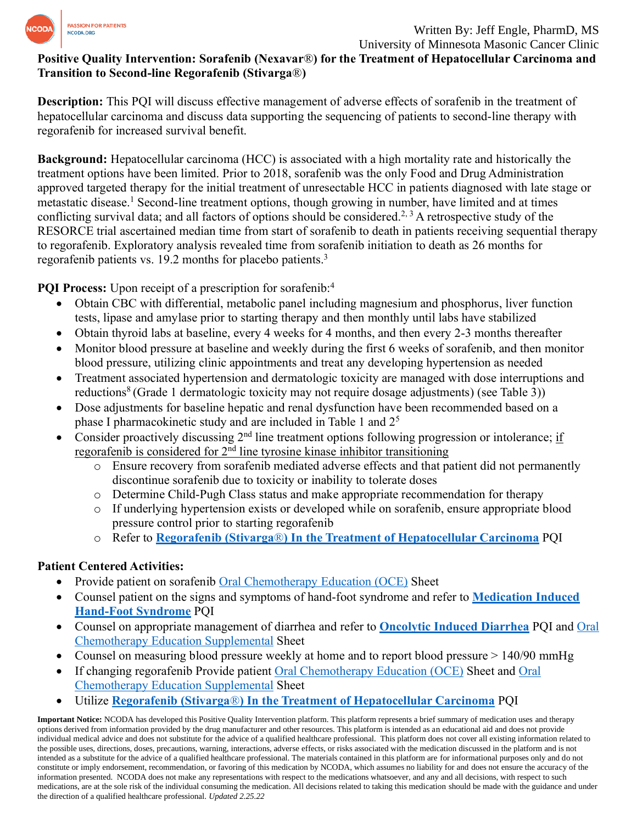

## **Positive Quality Intervention: Sorafenib (Nexavar**®**) for the Treatment of Hepatocellular Carcinoma and Transition to Second-line Regorafenib (Stivarga**®**)**

**Description:** This PQI will discuss effective management of adverse effects of sorafenib in the treatment of hepatocellular carcinoma and discuss data supporting the sequencing of patients to second-line therapy with regorafenib for increased survival benefit.

**Background:** Hepatocellular carcinoma (HCC) is associated with a high mortality rate and historically the treatment options have been limited. Prior to 2018, sorafenib was the only Food and Drug Administration approved targeted therapy for the initial treatment of unresectable HCC in patients diagnosed with late stage or metastatic disease. <sup>1</sup> Second-line treatment options, though growing in number, have limited and at times conflicting survival data; and all factors of options should be considered.<sup>2, 3</sup> A retrospective study of the RESORCE trial ascertained median time from start of sorafenib to death in patients receiving sequential therapy to regorafenib. Exploratory analysis revealed time from sorafenib initiation to death as 26 months for regorafenib patients vs. 19.2 months for placebo patients.<sup>3</sup>

**PQI Process:** Upon receipt of a prescription for sorafenib:<sup>4</sup>

- Obtain CBC with differential, metabolic panel including magnesium and phosphorus, liver function tests, lipase and amylase prior to starting therapy and then monthly until labs have stabilized
- Obtain thyroid labs at baseline, every 4 weeks for 4 months, and then every 2-3 months thereafter
- Monitor blood pressure at baseline and weekly during the first 6 weeks of sorafenib, and then monitor blood pressure, utilizing clinic appointments and treat any developing hypertension as needed
- Treatment associated hypertension and dermatologic toxicity are managed with dose interruptions and reductions<sup>8</sup> (Grade 1 dermatologic toxicity may not require dosage adjustments) (see Table 3))
- Dose adjustments for baseline hepatic and renal dysfunction have been recommended based on a phase I pharmacokinetic study and are included in Table 1 and 2<sup>5</sup>
- Consider proactively discussing 2nd line treatment options following progression or intolerance; if regorafenib is considered for  $2<sup>nd</sup>$  line tyrosine kinase inhibitor transitioning
	- o Ensure recovery from sorafenib mediated adverse effects and that patient did not permanently discontinue sorafenib due to toxicity or inability to tolerate doses
	- o Determine Child-Pugh Class status and make appropriate recommendation for therapy
	- o If underlying hypertension exists or developed while on sorafenib, ensure appropriate blood pressure control prior to starting regorafenib
	- o Refer to **Regorafenib (Stivarga**®**[\) In the Treatment of Hepatocellular Carcinoma](https://www.ncoda.org/wp-content/uploads/pqis/Regorafenib-Stivarga-In-the-Treatment-of-Hepatocellular-Carcinoma_PQI_NCODA.pdf)** PQI

# **Patient Centered Activities:**

- Provide patient on sorafenib [Oral Chemotherapy Education \(OCE\)](https://www.oralchemoedsheets.com/index.php/sheet-library/24-available/generic/92-sorafenib) Sheet
- Counsel patient on the signs and symptoms of hand-foot syndrome and refer to **[Medication Induced](https://www.ncoda.org/wp-content/uploads/pqis/Medication-Induced-Hand-Foot-Syndrome_PQI_NCODA.pdf)  [Hand-Foot Syndrome](https://www.ncoda.org/wp-content/uploads/pqis/Medication-Induced-Hand-Foot-Syndrome_PQI_NCODA.pdf)** PQI
- Counsel on appropriate management of diarrhea and refer to **Oncolytic [Induced Diarrhea](https://www.ncoda.org/wp-content/uploads/pqis/Oncolytic-Induced-Diarrhea_PQI_NCODA.pdf)** PQI and [Oral](https://www.oralchemoedsheets.com/index.php/supplement-library/27-supplemental-available/497-diarrhea)  [Chemotherapy Education Supplemental](https://www.oralchemoedsheets.com/index.php/supplement-library/27-supplemental-available/497-diarrhea) Sheet
- Counsel on measuring blood pressure weekly at home and to report blood pressure > 140/90 mmHg
- If changing regorafenib Provide patient [Oral Chemotherapy Education \(OCE\)](https://www.oralchemoedsheets.com/index.php/sheet-library/19-coming-soon/generic/94-regorafenib) Sheet and Oral [Chemotherapy Education Supplemental](https://www.oralchemoedsheets.com/index.php/supplement-library/27-supplemental-available/509-managing-hand-foot-reaction) Sheet
- Utilize **Regorafenib (Stivarga**®**[\) In the Treatment of Hepatocellular Carcinoma](https://www.ncoda.org/wp-content/uploads/pqis/Regorafenib-Stivarga-In-the-Treatment-of-Hepatocellular-Carcinoma_PQI_NCODA.pdf)** PQI

**Important Notice:** NCODA has developed this Positive Quality Intervention platform. This platform represents a brief summary of medication uses and therapy options derived from information provided by the drug manufacturer and other resources. This platform is intended as an educational aid and does not provide individual medical advice and does not substitute for the advice of a qualified healthcare professional. This platform does not cover all existing information related to the possible uses, directions, doses, precautions, warning, interactions, adverse effects, or risks associated with the medication discussed in the platform and is not intended as a substitute for the advice of a qualified healthcare professional. The materials contained in this platform are for informational purposes only and do not constitute or imply endorsement, recommendation, or favoring of this medication by NCODA, which assumes no liability for and does not ensure the accuracy of the information presented. NCODA does not make any representations with respect to the medications whatsoever, and any and all decisions, with respect to such medications, are at the sole risk of the individual consuming the medication. All decisions related to taking this medication should be made with the guidance and under the direction of a qualified healthcare professional. *Updated 2.25.22*